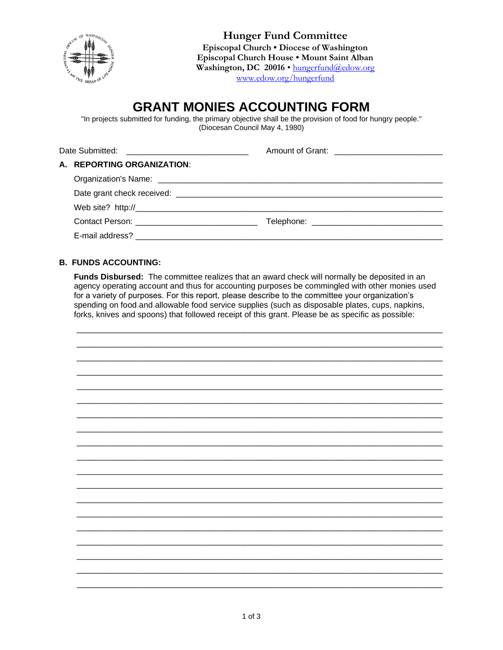

**Hunger Fund Committee** Episcopal Church . Diocese of Washington Episcopal Church House . Mount Saint Alban Washington, DC 20016 · hungerfund@edow.org www.edow.org/hungerfund

# **GRANT MONIES ACCOUNTING FORM**

"In projects submitted for funding, the primary objective shall be the provision of food for hungry people." (Diocesan Council May 4, 1980)

| Date Submitted: __________________________________ |                            | Amount of Grant: ______________________________ |
|----------------------------------------------------|----------------------------|-------------------------------------------------|
|                                                    | A. REPORTING ORGANIZATION: |                                                 |
|                                                    |                            |                                                 |
|                                                    |                            |                                                 |
|                                                    |                            |                                                 |
|                                                    |                            |                                                 |
|                                                    |                            |                                                 |

# **B. FUNDS ACCOUNTING:**

Funds Disbursed: The committee realizes that an award check will normally be deposited in an agency operating account and thus for accounting purposes be commingled with other monies used for a variety of purposes. For this report, please describe to the committee your organization's spending on food and allowable food service supplies (such as disposable plates, cups, napkins, forks, knives and spoons) that followed receipt of this grant. Please be as specific as possible: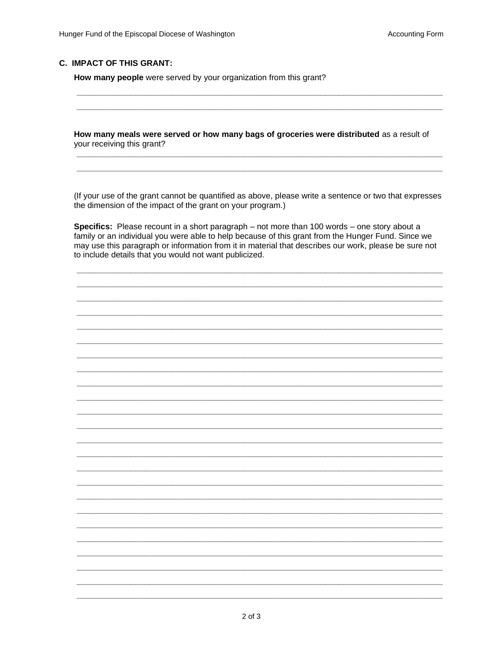### **C. IMPACT OF THIS GRANT:**

How many people were served by your organization from this grant?

How many meals were served or how many bags of groceries were distributed as a result of your receiving this grant?

(If your use of the grant cannot be quantified as above, please write a sentence or two that expresses the dimension of the impact of the grant on your program.)

Specifics: Please recount in a short paragraph – not more than 100 words – one story about a family or an individual you were able to help because of this grant from the Hunger Fund. Since we may use this paragraph or information from it in material that describes our work, please be sure not to include details that you would not want publicized.